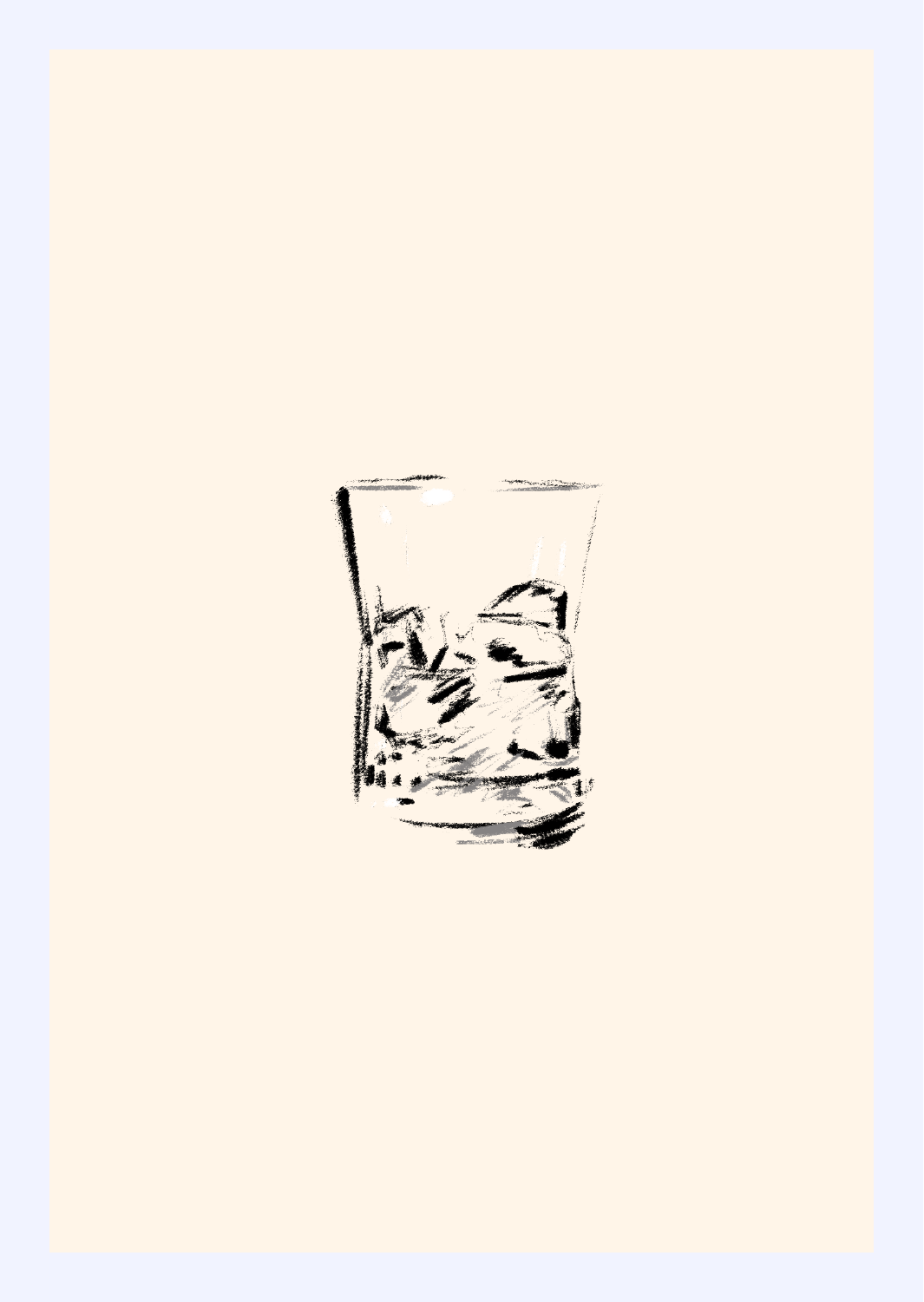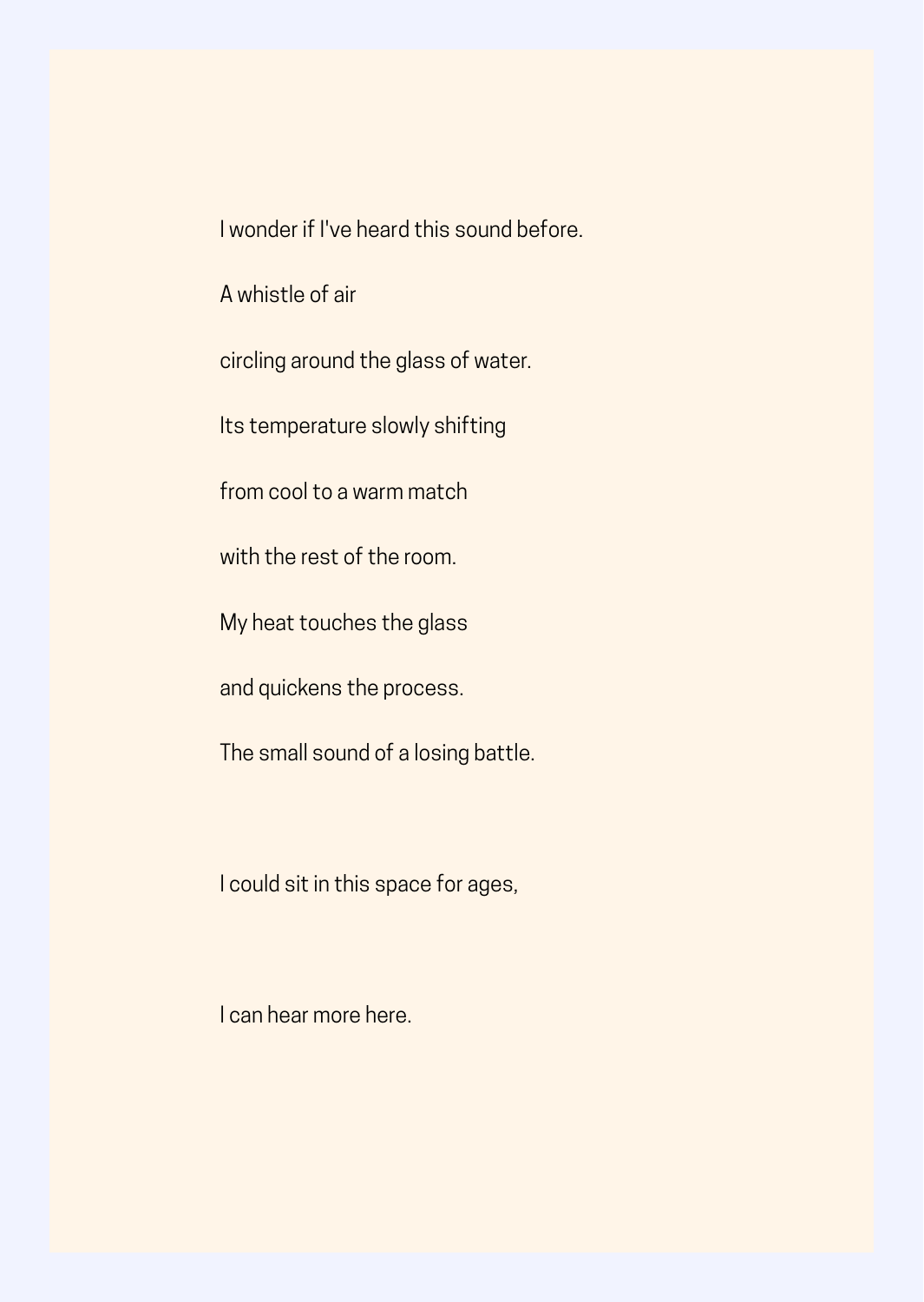**I wonder if I've heard this sound before.**

**A whistle of air**

**circling around the glass of water.**

**Its temperature slowly shifting**

**from cool to a warm match**

**with the rest of the room.**

**My heat touches the glass**

**and quickens the process.**

**The small sound of a losing battle.**

**I could sit in this space for ages,**

**I can hear more here.**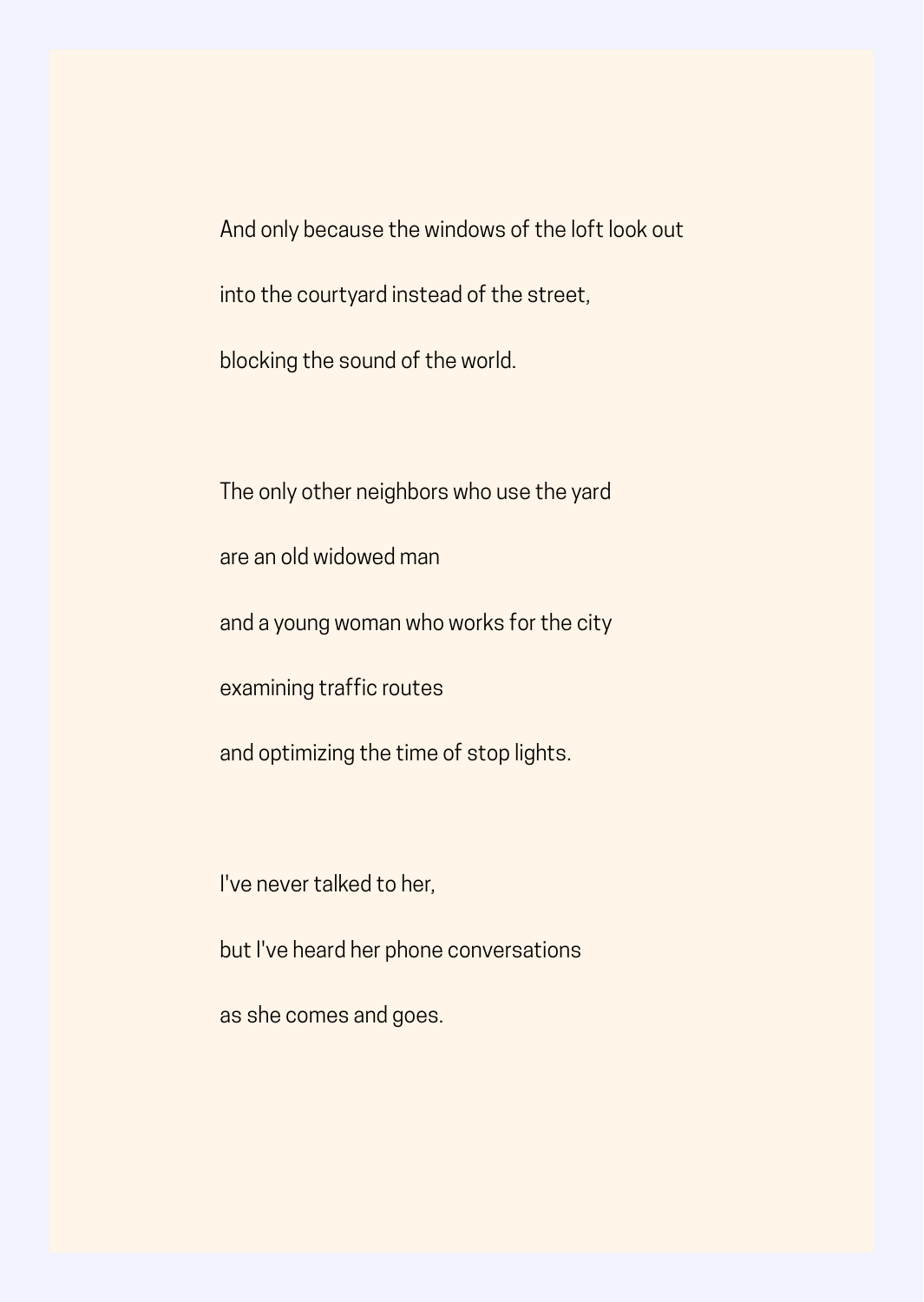**And only because the windows of the loft look out into the courtyard instead of the street, blocking the sound of the world.**

**The only other neighbors who use the yard are an old widowed man and a young woman who works for the city examining traffic routes and optimizing the time of stop lights.**

**I've never talked to her,**

**but I've heard her phone conversations**

**as she comes and goes.**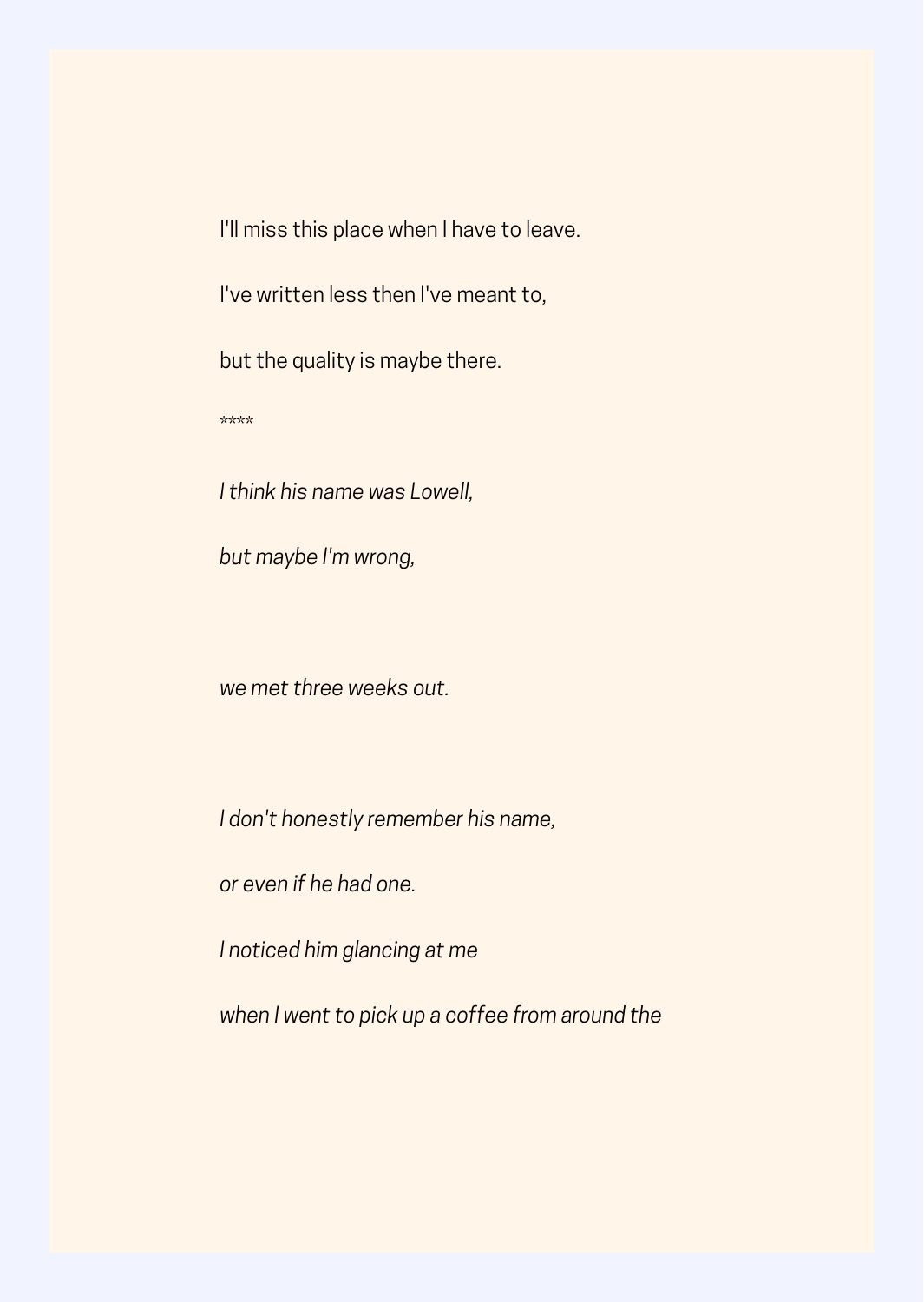**I'll miss this place when I have to leave.**

**I've written less then I've meant to,**

**but the quality is maybe there.**

**\*\*\*\***

*I think his name was Lowell,*

*but maybe I'm wrong,*

*we met three weeks out.*

*I don't honestly remember his name,*

*or even if he had one.*

*I noticed him glancing at me*

*when I went to pick up a coffee from around the*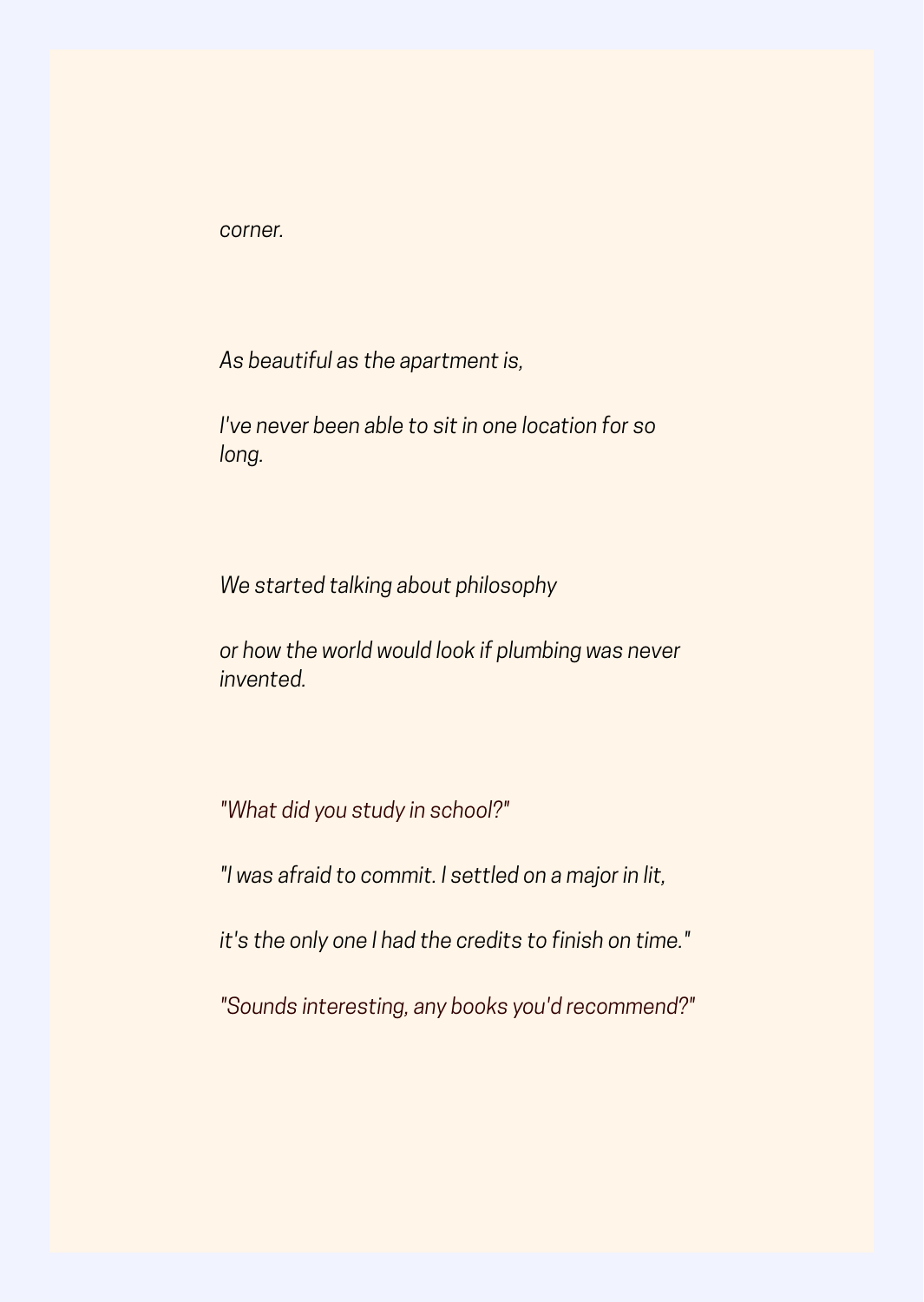*corner.*

*As beautiful as the apartment is,*

*I've never been able to sit in one location for so long.*

*We started talking about philosophy*

*or how the world would look if plumbing was never invented.*

*"What did you study in school?"*

*"I was afraid to commit. I settled on a major in lit,*

*it's the only one I had the credits to finish on time."*

*"Sounds interesting, any books you'd recommend?"*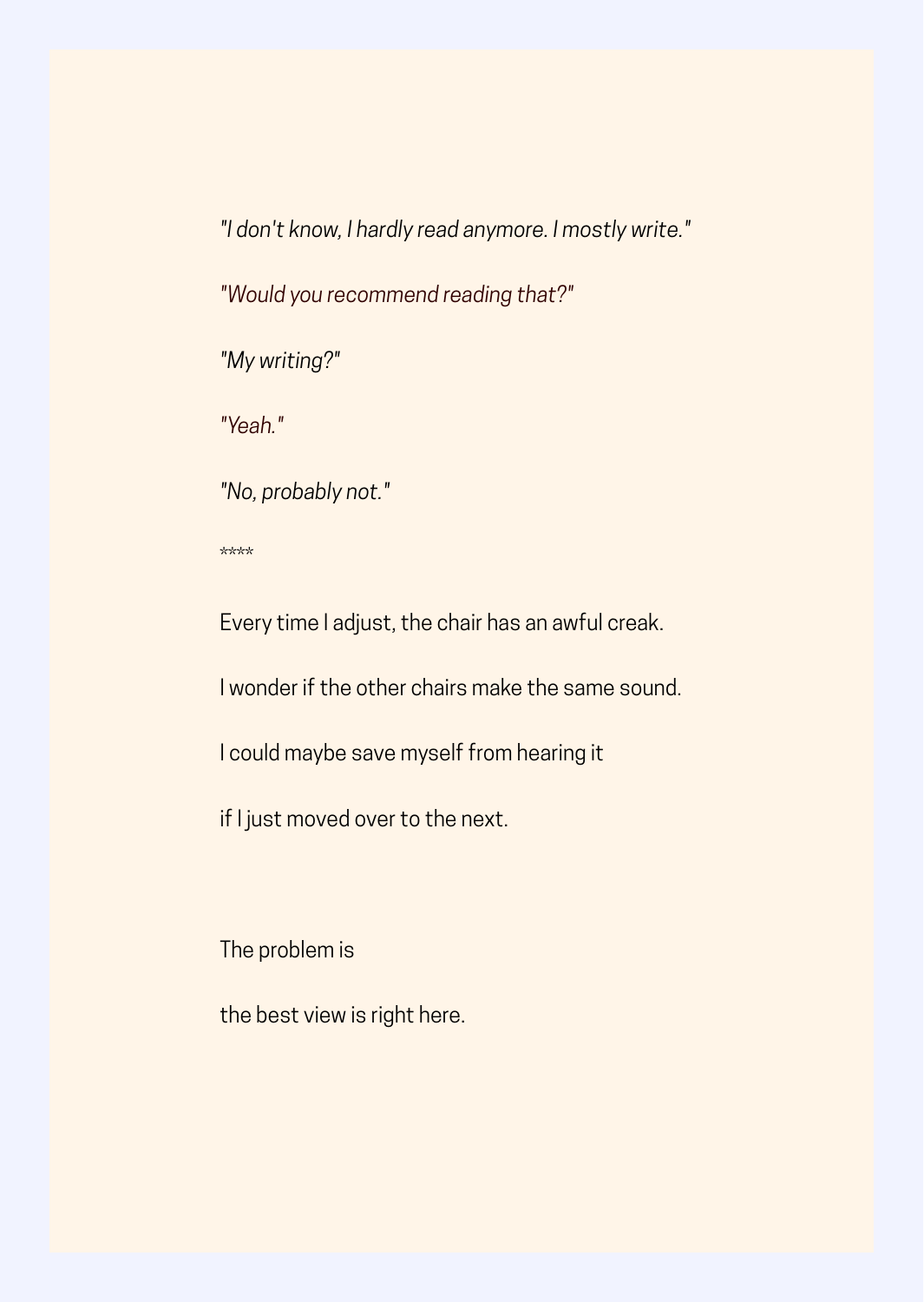*"I don't know, I hardly read anymore. I mostly write."*

*"Would you recommend reading that?"*

*"My writing?"*

*"Yeah."*

*"No, probably not."*

**\*\*\*\***

**Every time I adjust, the chair has an awful creak.**

**I wonder if the other chairs make the same sound.**

**I could maybe save myself from hearing it**

**if I just moved over to the next.**

**The problem is**

**the best view is right here.**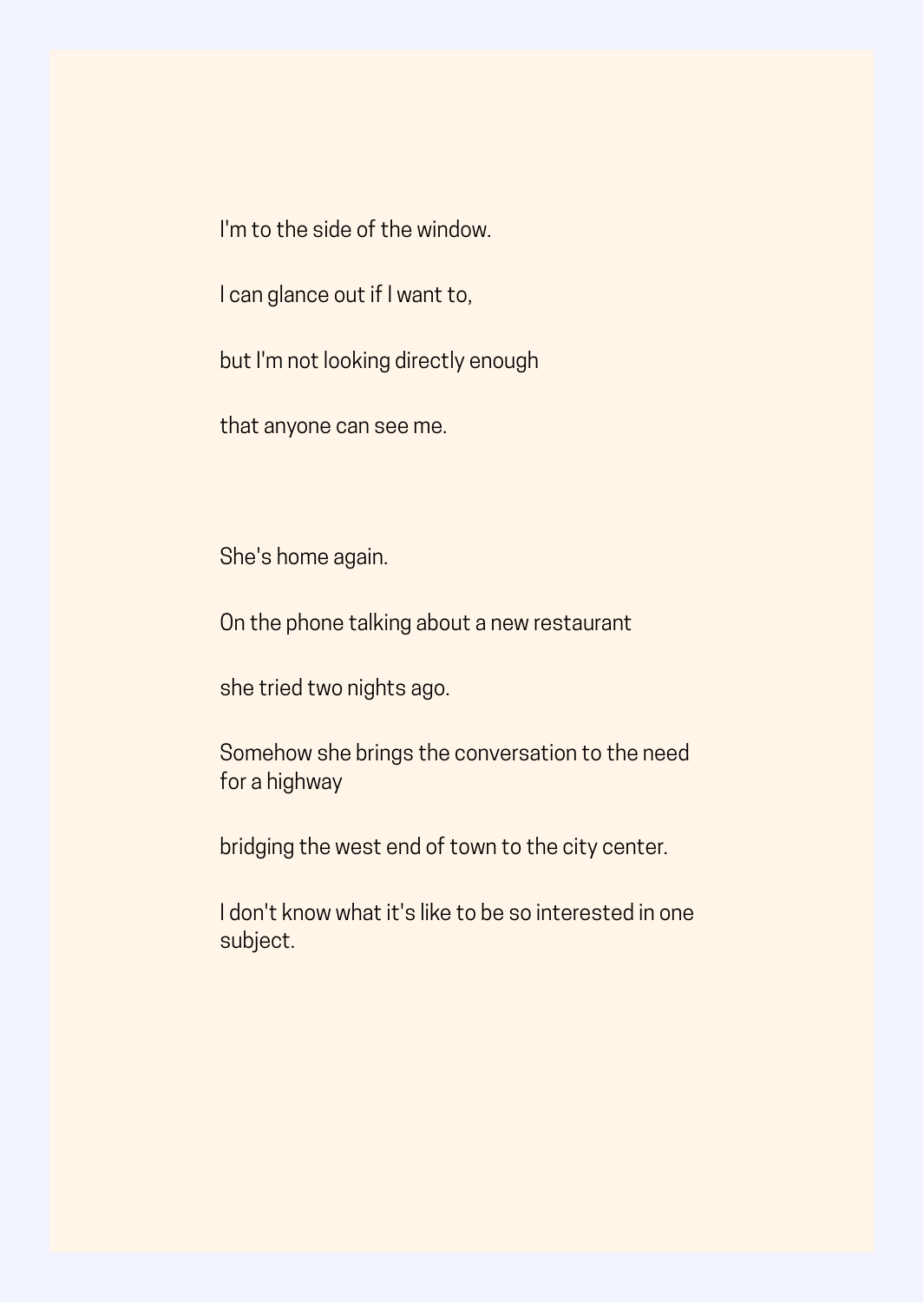**I'm to the side of the window.**

**I can glance out if I want to,**

**but I'm not looking directly enough**

**that anyone can see me.**

**She's home again.**

**On the phone talking about a new restaurant**

**she tried two nights ago.**

**Somehow she brings the conversation to the need for a highway**

**bridging the west end of town to the city center.**

**I don't know what it's like to be so interested in one subject.**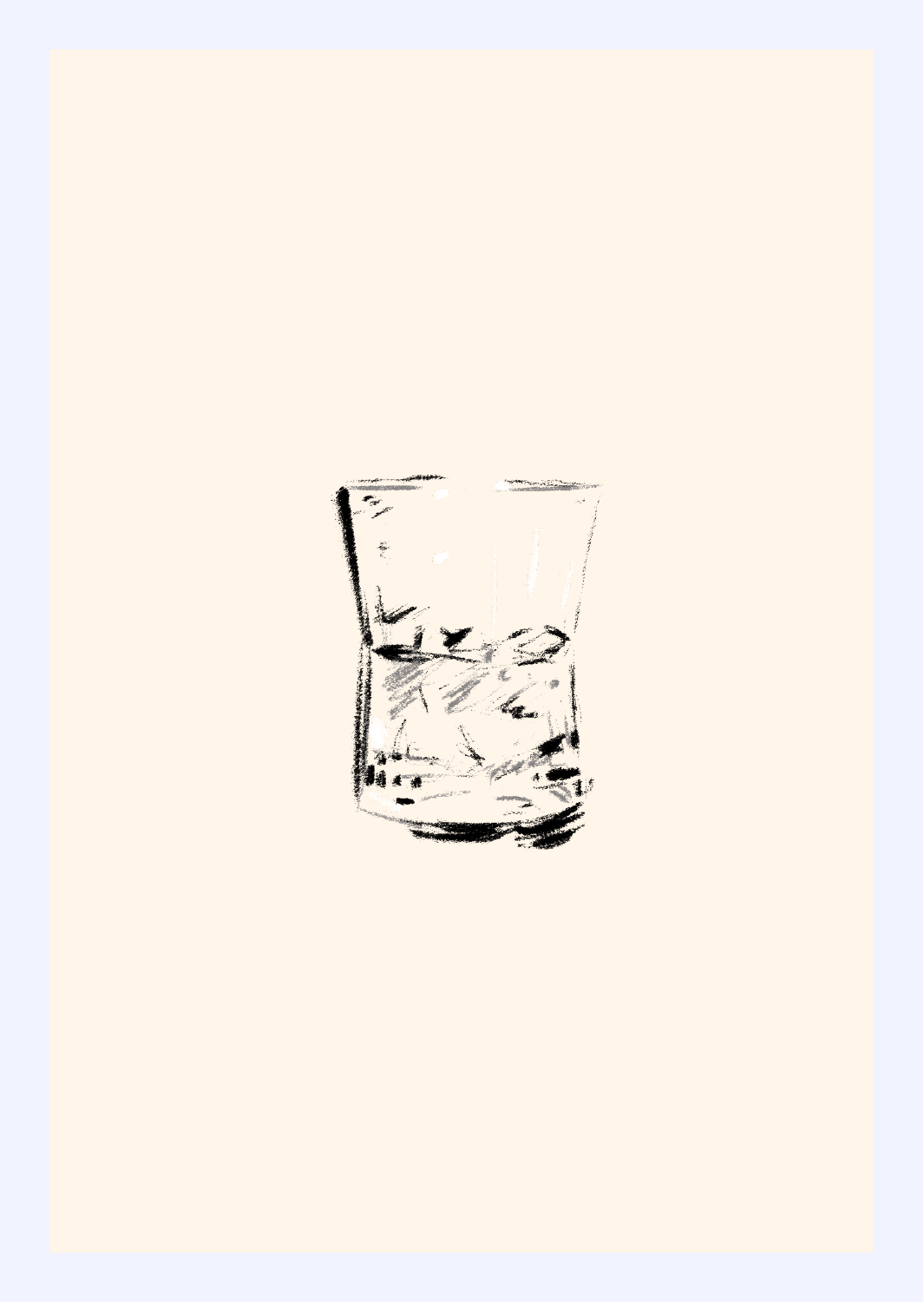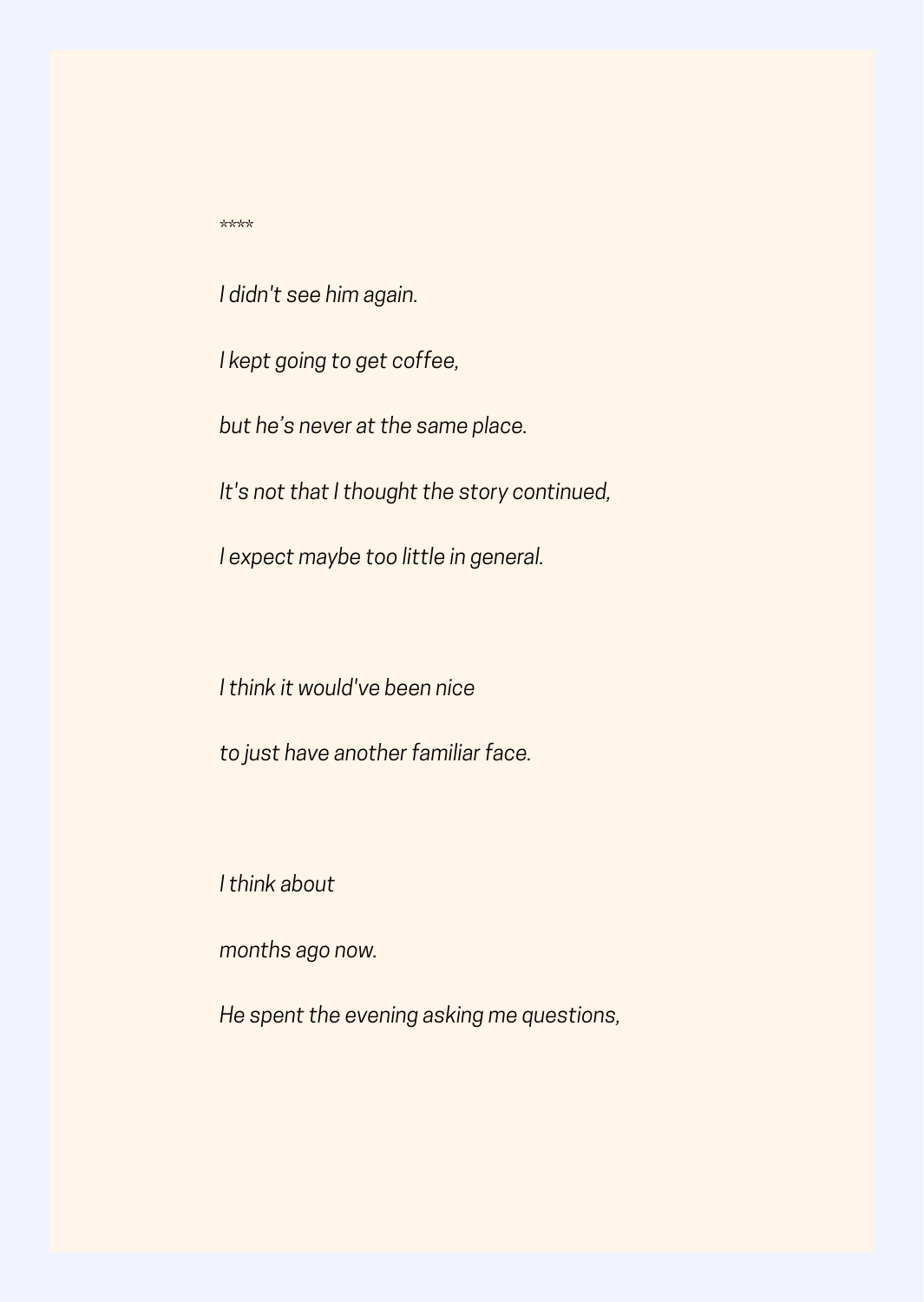**\*\*\*\***

*I didn't see him again.*

*I kept going to get coffee,*

*but he's never at the same place.*

*It's not that I thought the story continued,*

*I expect maybe too little in general.*

*I think it would've been nice*

*to just have another familiar face.*

*I think about*

*months ago now.*

*He spent the evening asking me questions,*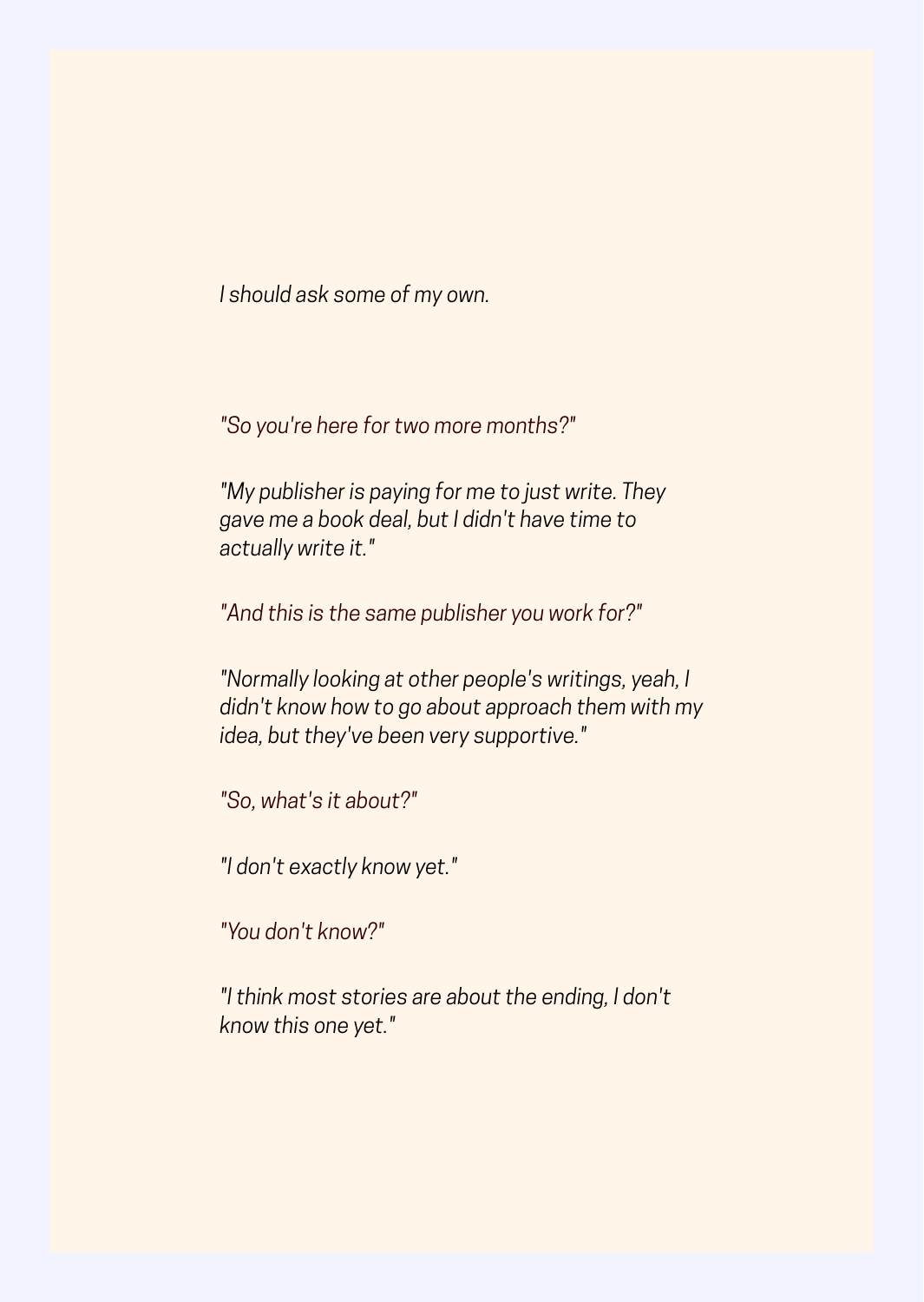*I should ask some of my own.*

*"So you're here for two more months?"*

*"My publisher is paying for me to just write. They gave me a book deal, but I didn't have time to actually write it."*

*"And this is the same publisher you work for?"*

*"Normally looking at other people's writings, yeah, I didn't know how to go about approach them with my idea, but they've been very supportive."*

*"So, what's it about?"*

*"I don't exactly know yet."*

*"You don't know?"*

*"I think most stories are about the ending, I don't know this one yet."*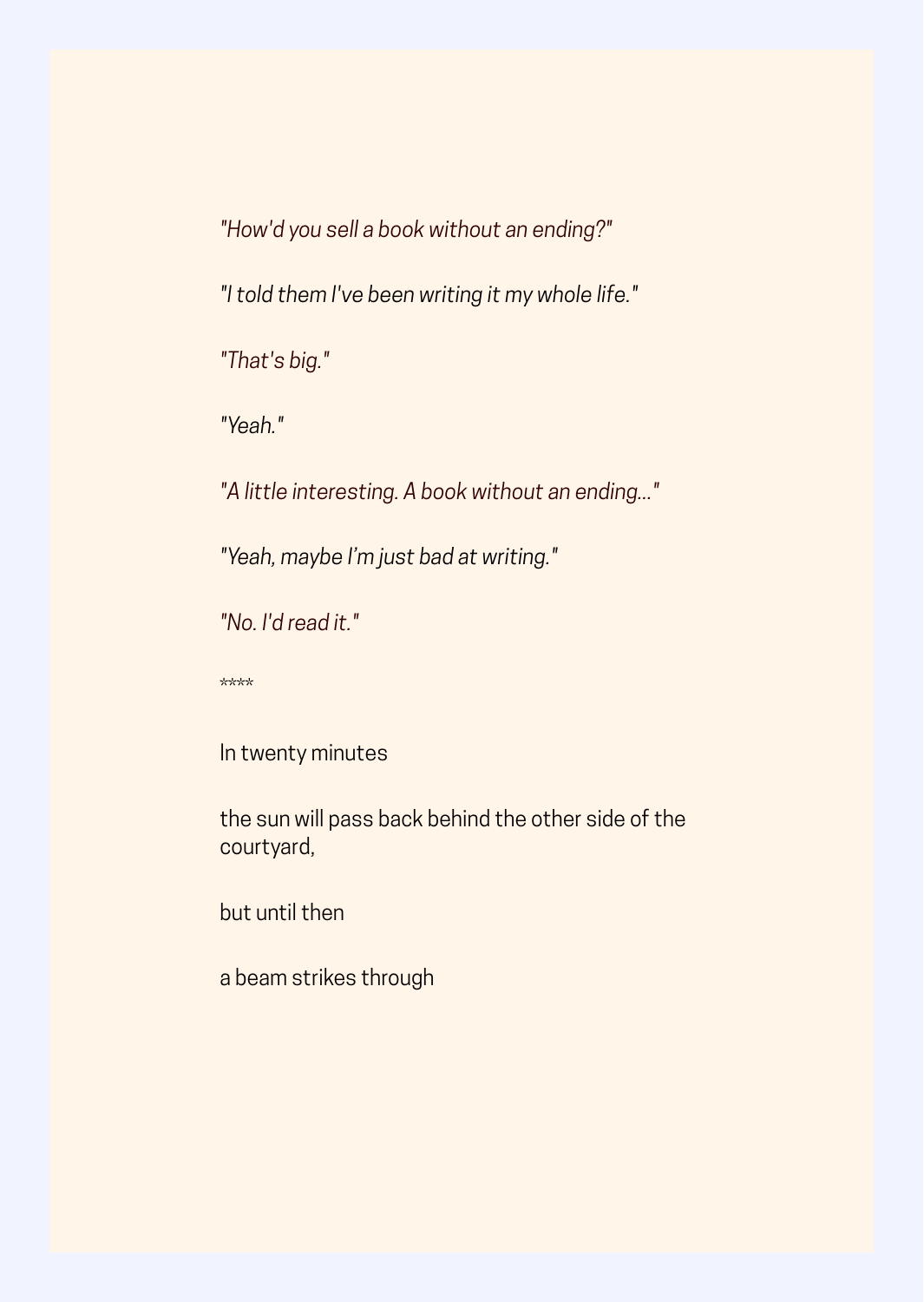*"How'd you sell a book without an ending?"*

*"I told them I've been writing it my whole life."*

*"That's big."*

*"Yeah."*

*"A little interesting. A book without an ending..."*

*"Yeah, maybe I'm just bad at writing."*

*"No. I'd read it."*

**\*\*\*\***

**In twenty minutes**

**the sun will pass back behind the other side of the courtyard,**

**but until then**

**a beam strikes through**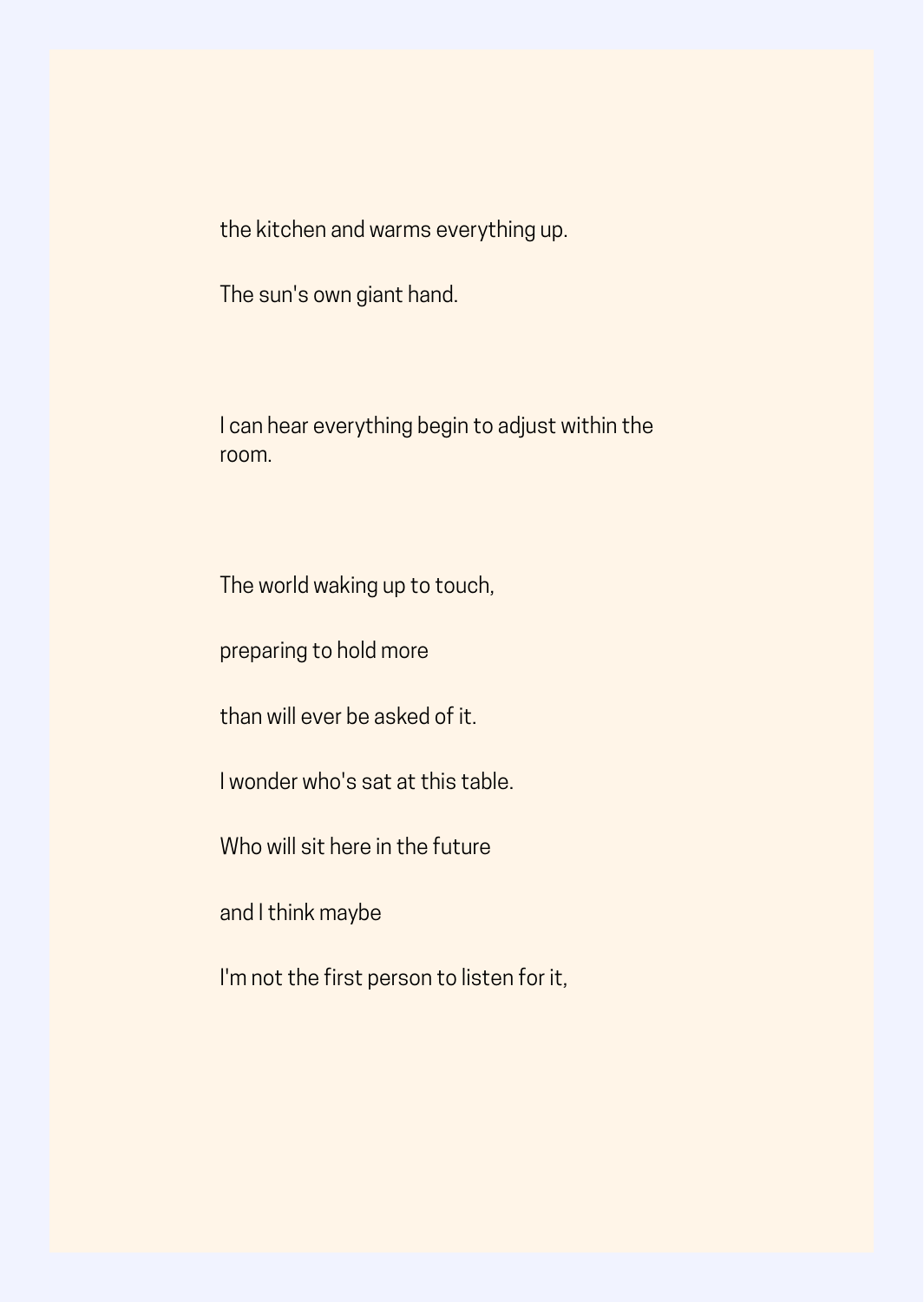**the kitchen and warms everything up.**

**The sun's own giant hand.**

**I can hear everything begin to adjust within the room.**

**The world waking up to touch,**

**preparing to hold more**

**than will ever be asked of it.**

**I wonder who's sat at this table.**

**Who will sit here in the future**

**and I think maybe**

**I'm not the first person to listen for it,**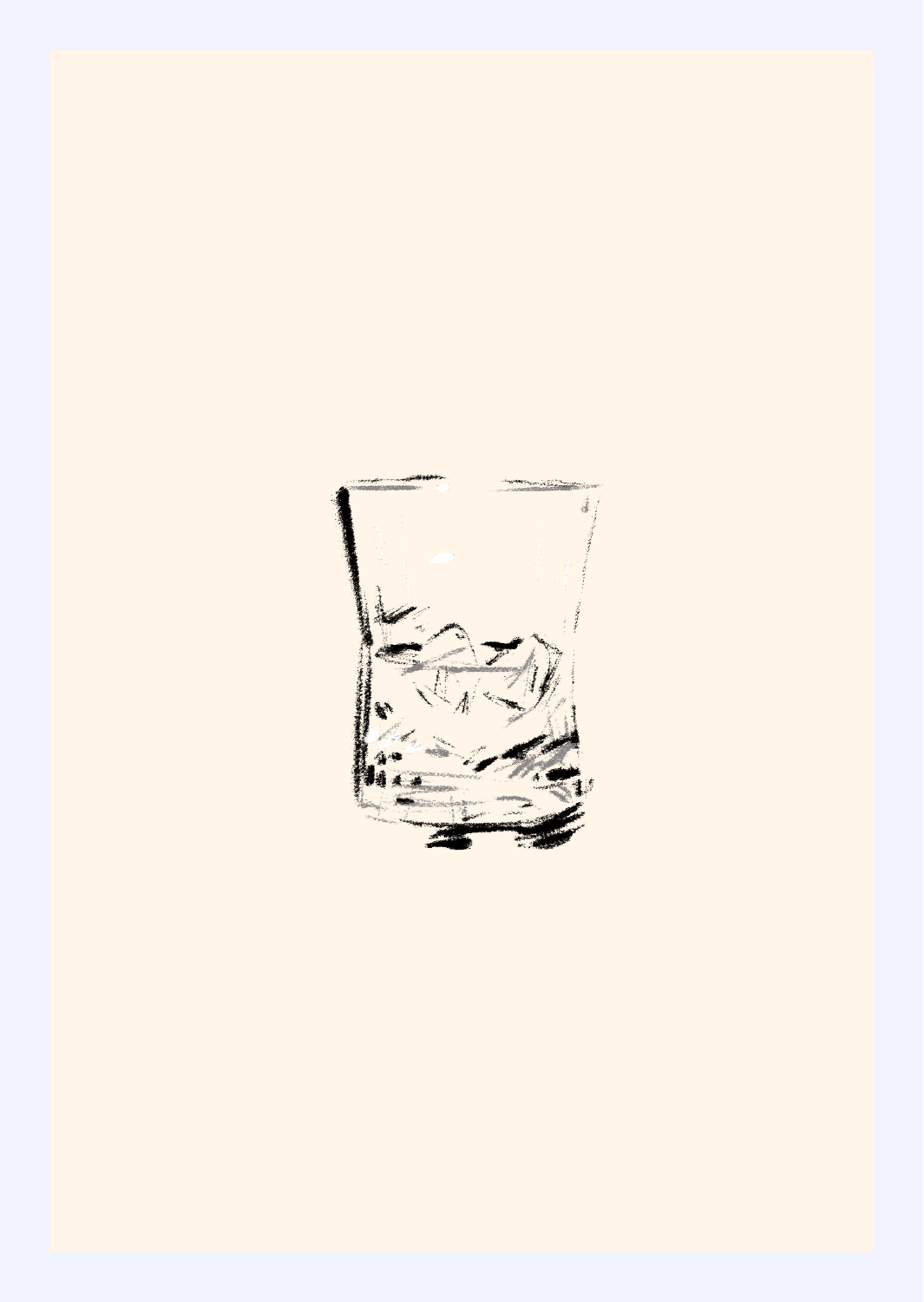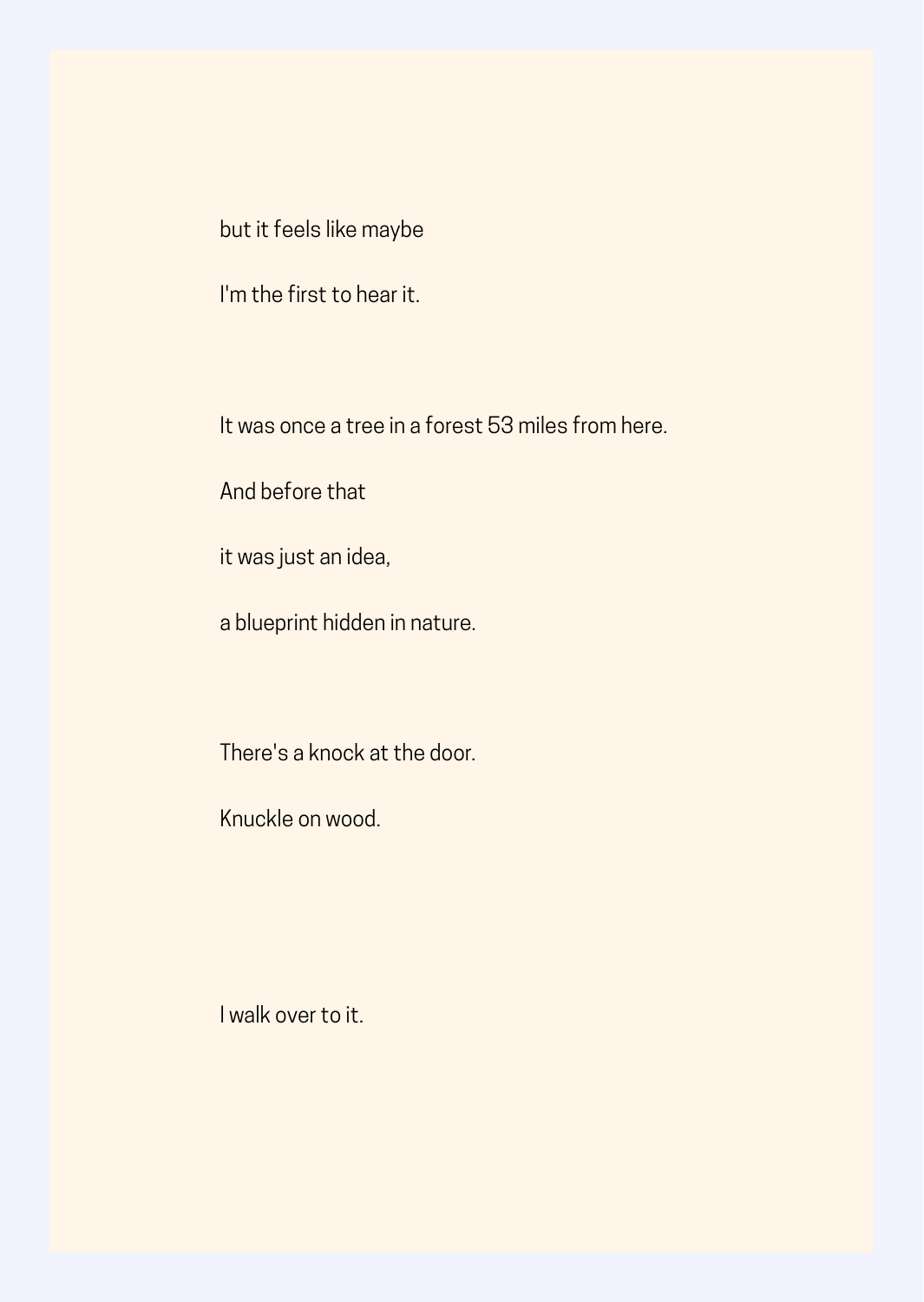**but it feels like maybe**

**I'm the first to hear it.**

**It was once a tree in a forest 53 miles from here.**

**And before that**

**it was just an idea,**

**a blueprint hidden in nature.**

**There's a knock at the door.**

**Knuckle on wood.**

**I walk over to it.**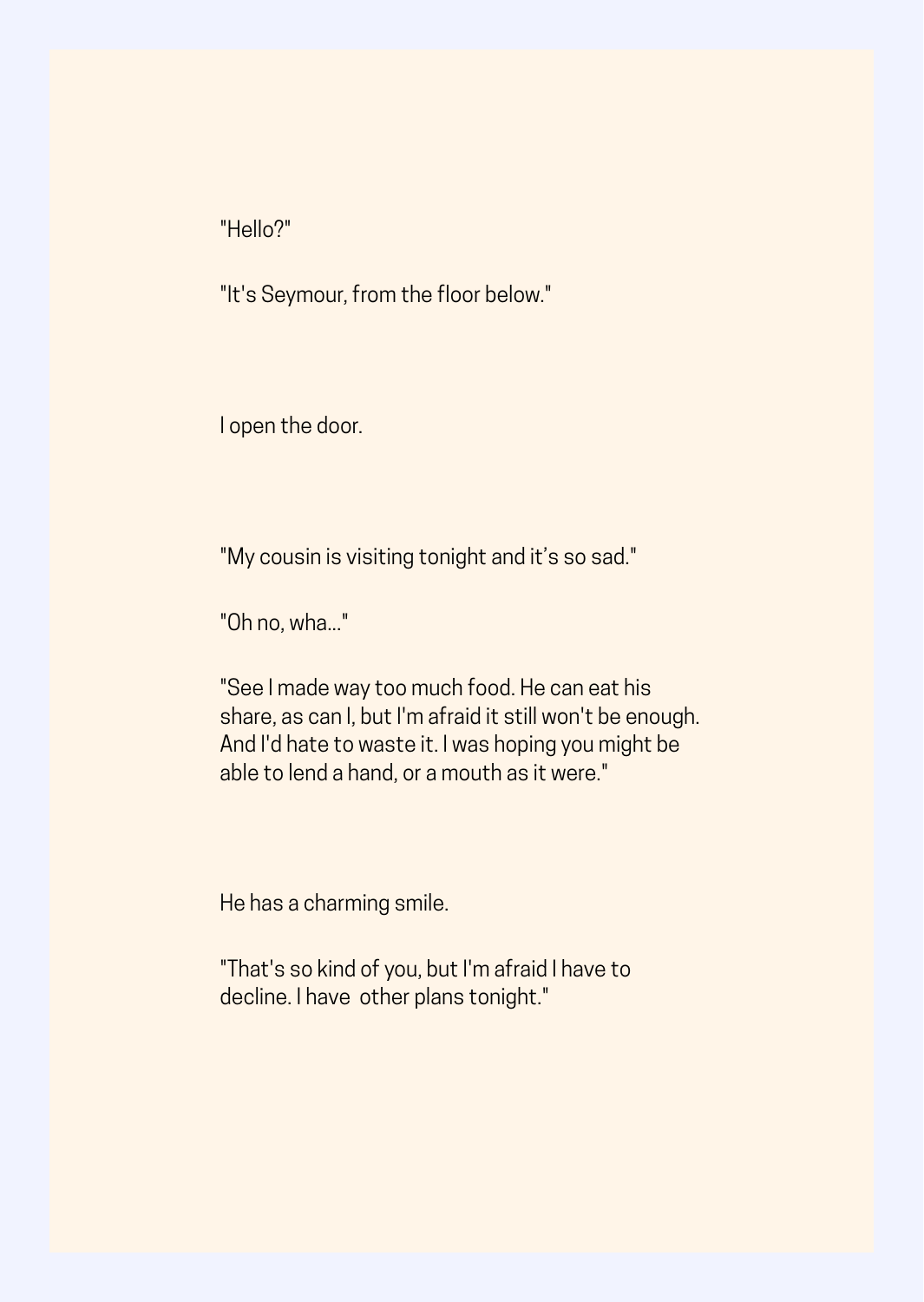**"Hello?"**

**"It's Seymour, from the floor below."**

**I open the door.**

**"My cousin is visiting tonight and it's so sad."**

**"Oh no, wha..."**

**"See I made way too much food. He can eat his share, as can I, but I'm afraid it still won't be enough. And I'd hate to waste it. I was hoping you might be able to lend a hand, or a mouth as it were."**

**He has a charming smile.**

**"That's so kind of you, but I'm afraid I have to decline. I have other plans tonight."**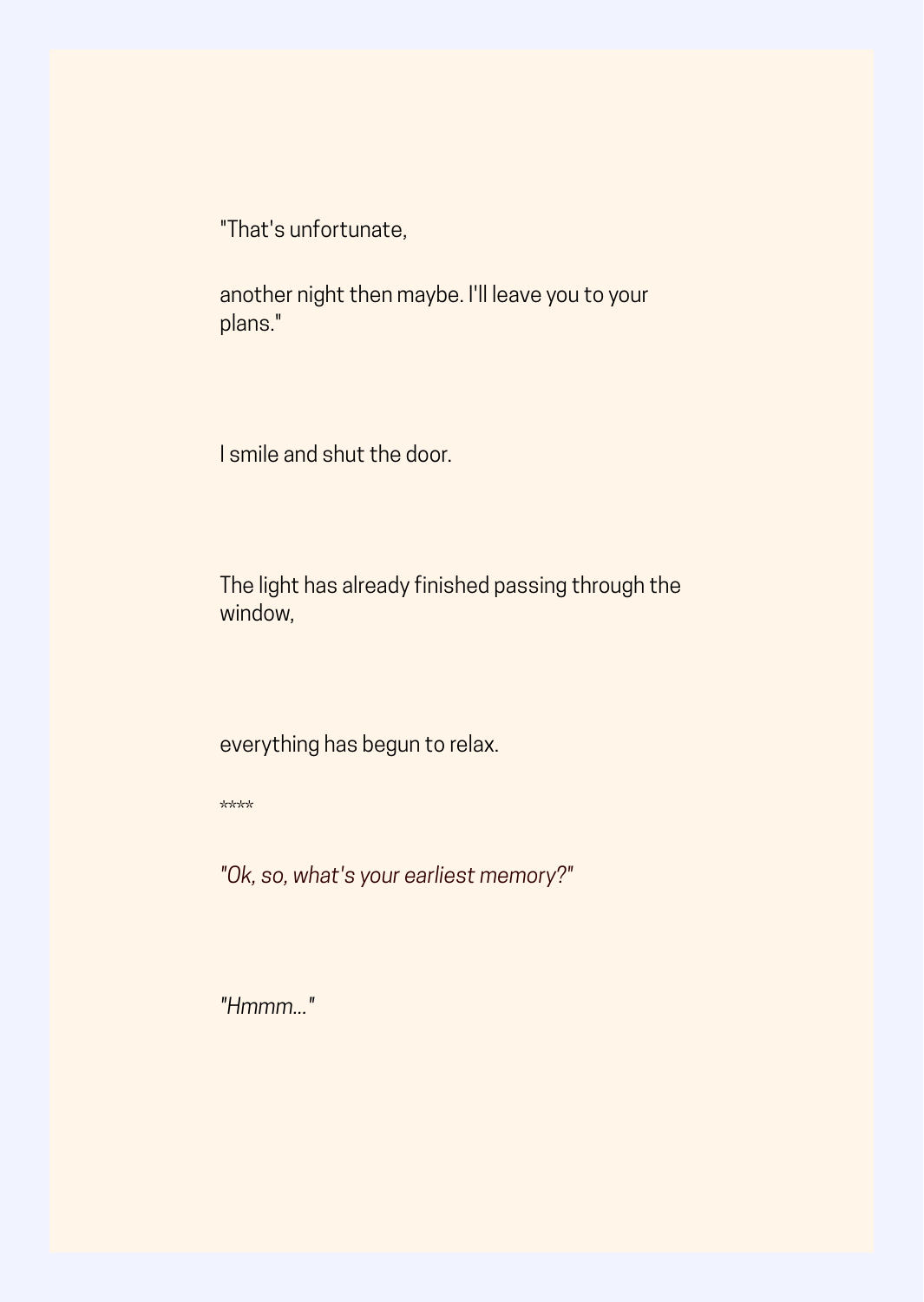**"That's unfortunate,**

**another night then maybe. I'll leave you to your plans."**

**I smile and shut the door.**

**The light has already finished passing through the window,**

**everything has begun to relax.**

**\*\*\*\***

*"Ok, so, what's your earliest memory?"*

*"Hmmm..."*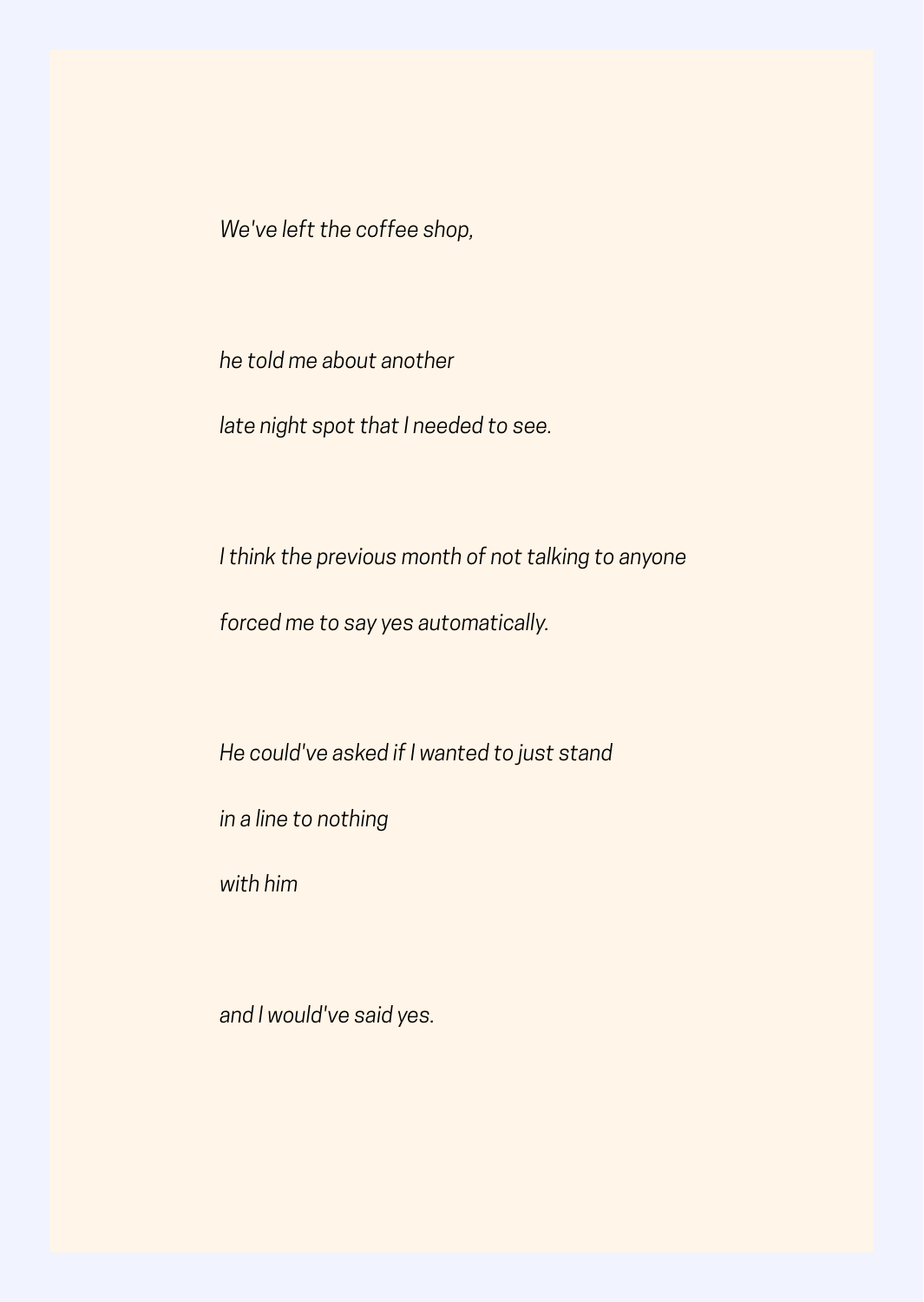*We've left the coffee shop,*

*he told me about another*

*late night spot that I needed to see.*

*I think the previous month of not talking to anyone*

*forced me to say yes automatically.*

*He could've asked if I wanted to just stand*

*in a line to nothing*

*with him*

*and I would've said yes.*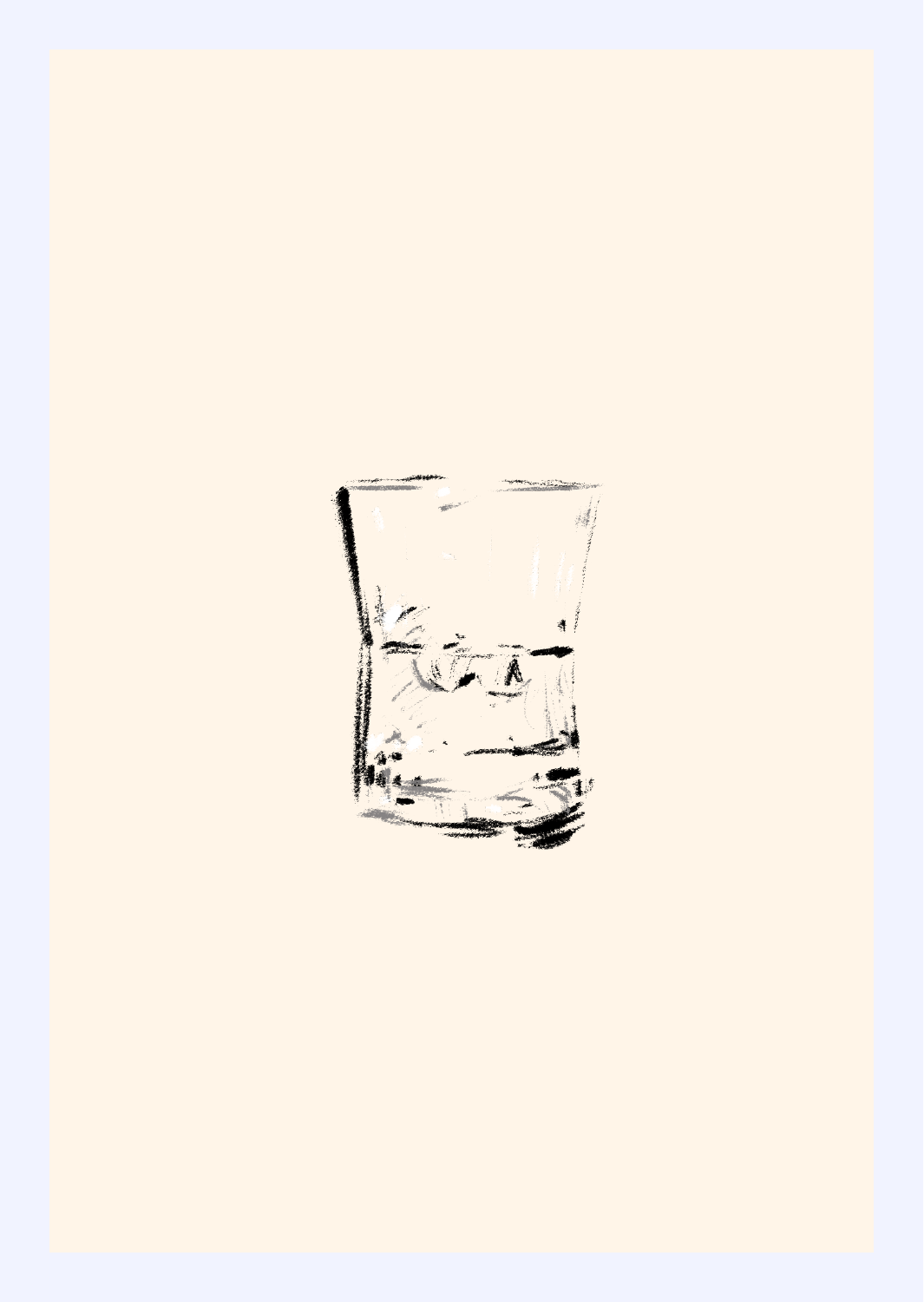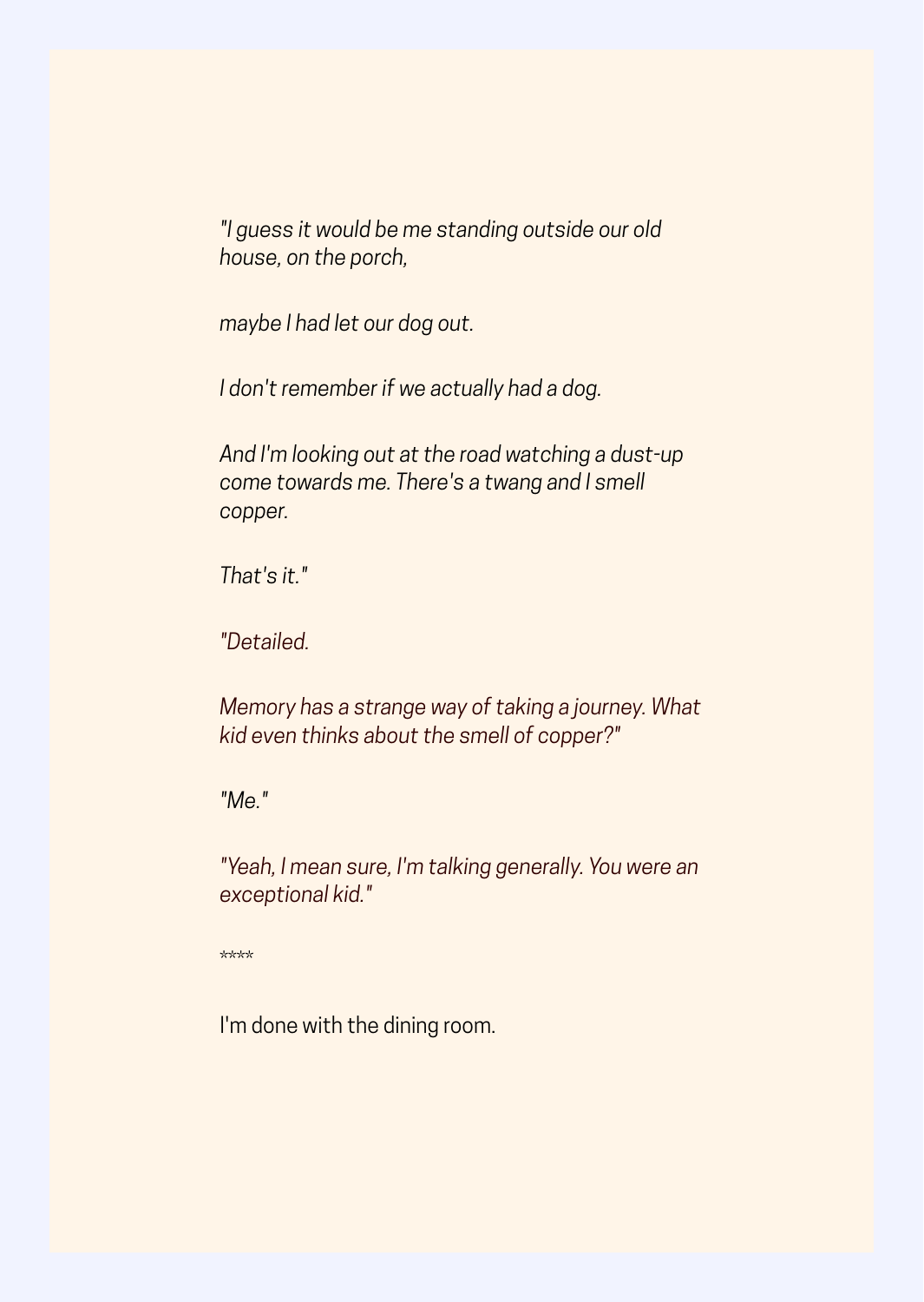*"I guess it would be me standing outside our old house, on the porch,*

*maybe I had let our dog out.*

*I don't remember if we actually had a dog.*

*And I'm looking out at the road watching a dust-up come towards me. There's a twang and I smell copper.*

*That's it."*

*"Detailed.*

*Memory has a strange way of taking a journey. What kid even thinks about the smell of copper?"*

*"Me."*

*"Yeah, I mean sure, I'm talking generally. You were an exceptional kid."*

**\*\*\*\***

**I'm done with the dining room.**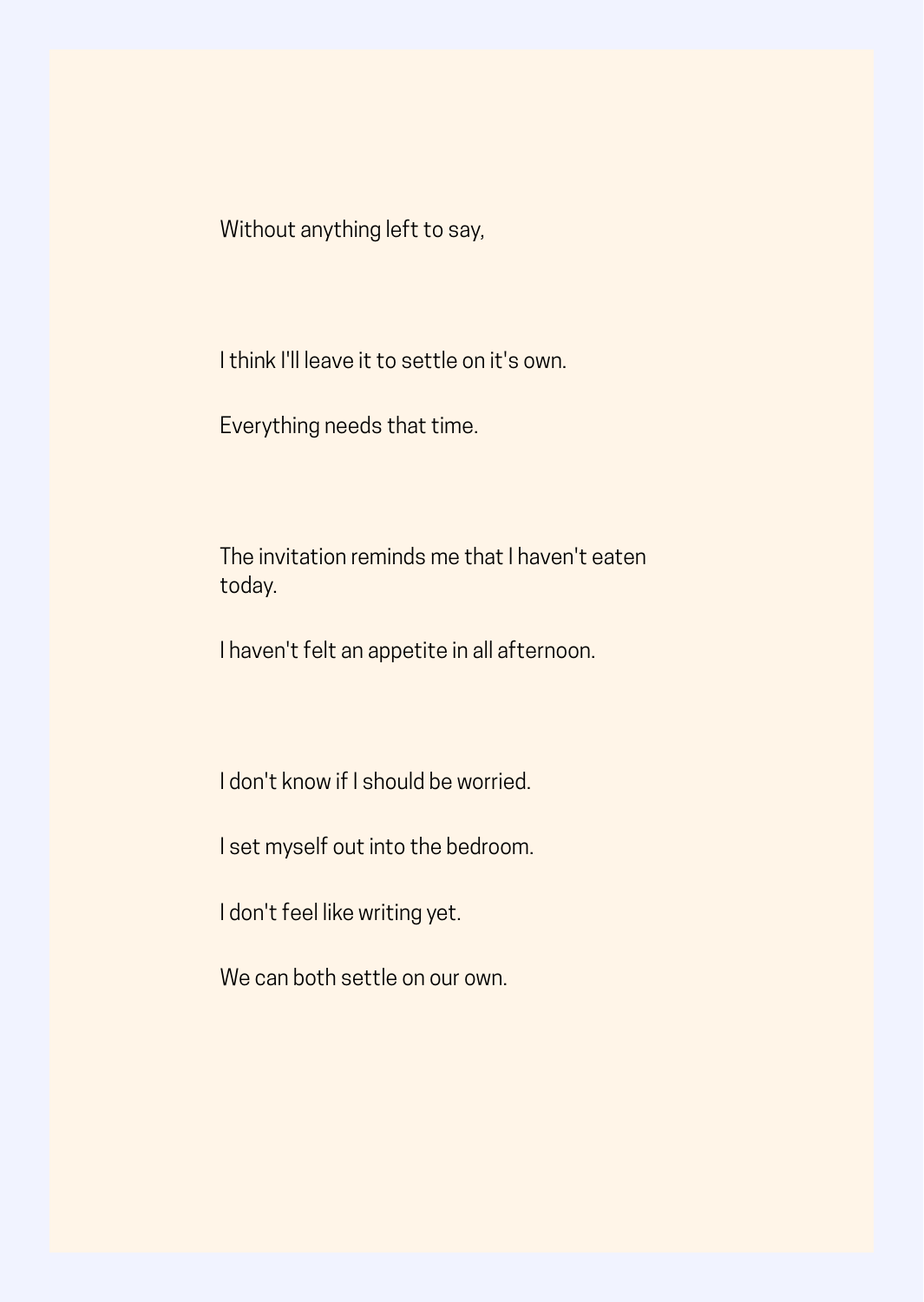**Without anything left to say,**

**I think I'll leave it to settle on it's own.**

**Everything needs that time.**

**The invitation reminds me that I haven't eaten today.**

**I haven't felt an appetite in all afternoon.**

**I don't know if I should be worried.**

**I set myself out into the bedroom.**

**I don't feel like writing yet.**

**We can both settle on our own.**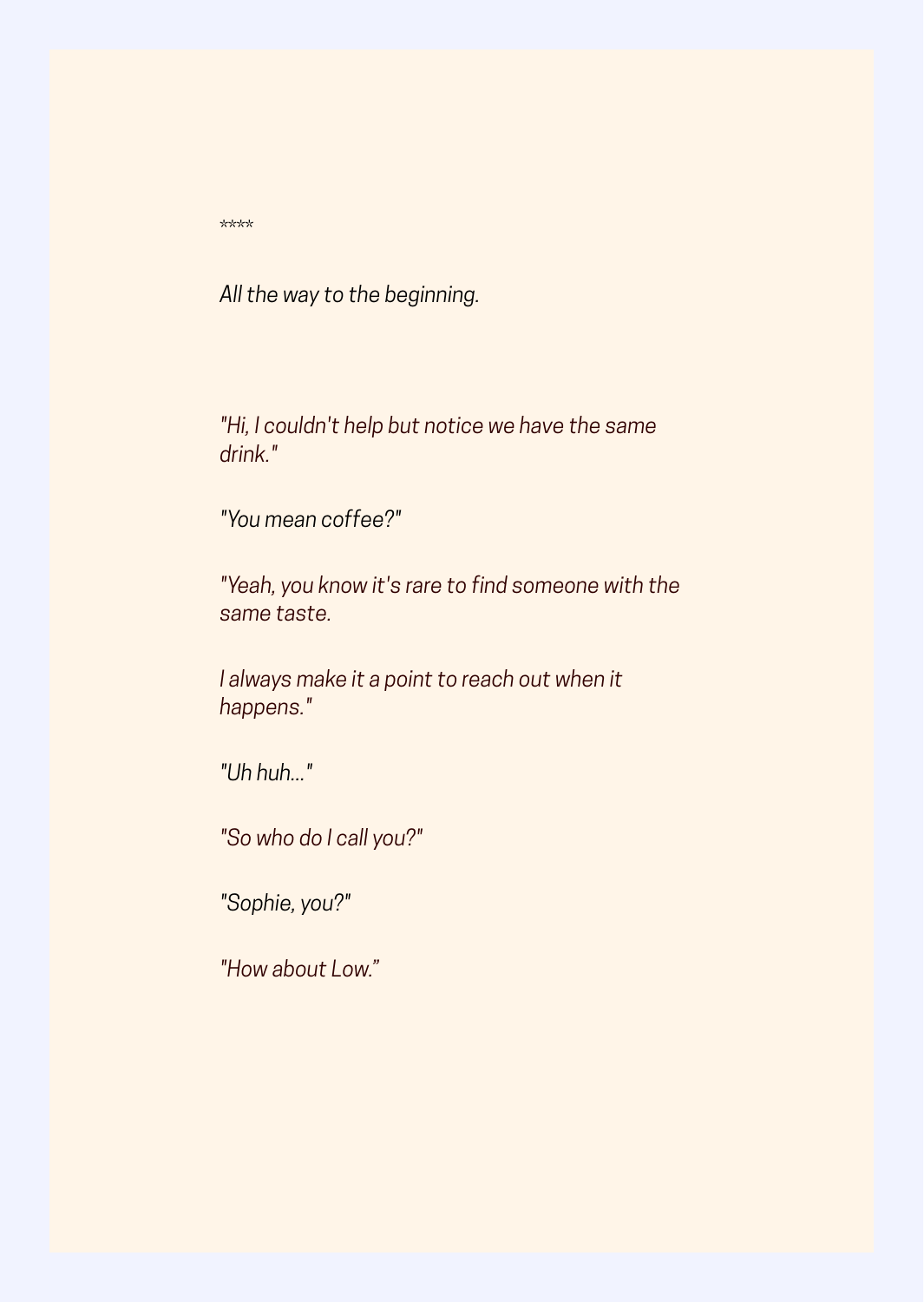**\*\*\*\***

*All the way to the beginning.*

*"Hi, I couldn't help but notice we have the same drink."*

*"You mean coffee?"*

*"Yeah, you know it's rare to find someone with the same taste.*

*I always make it a point to reach out when it happens."*

*"Uh huh..."*

*"So who do I call you?"*

*"Sophie, you?"*

*"How about Low."*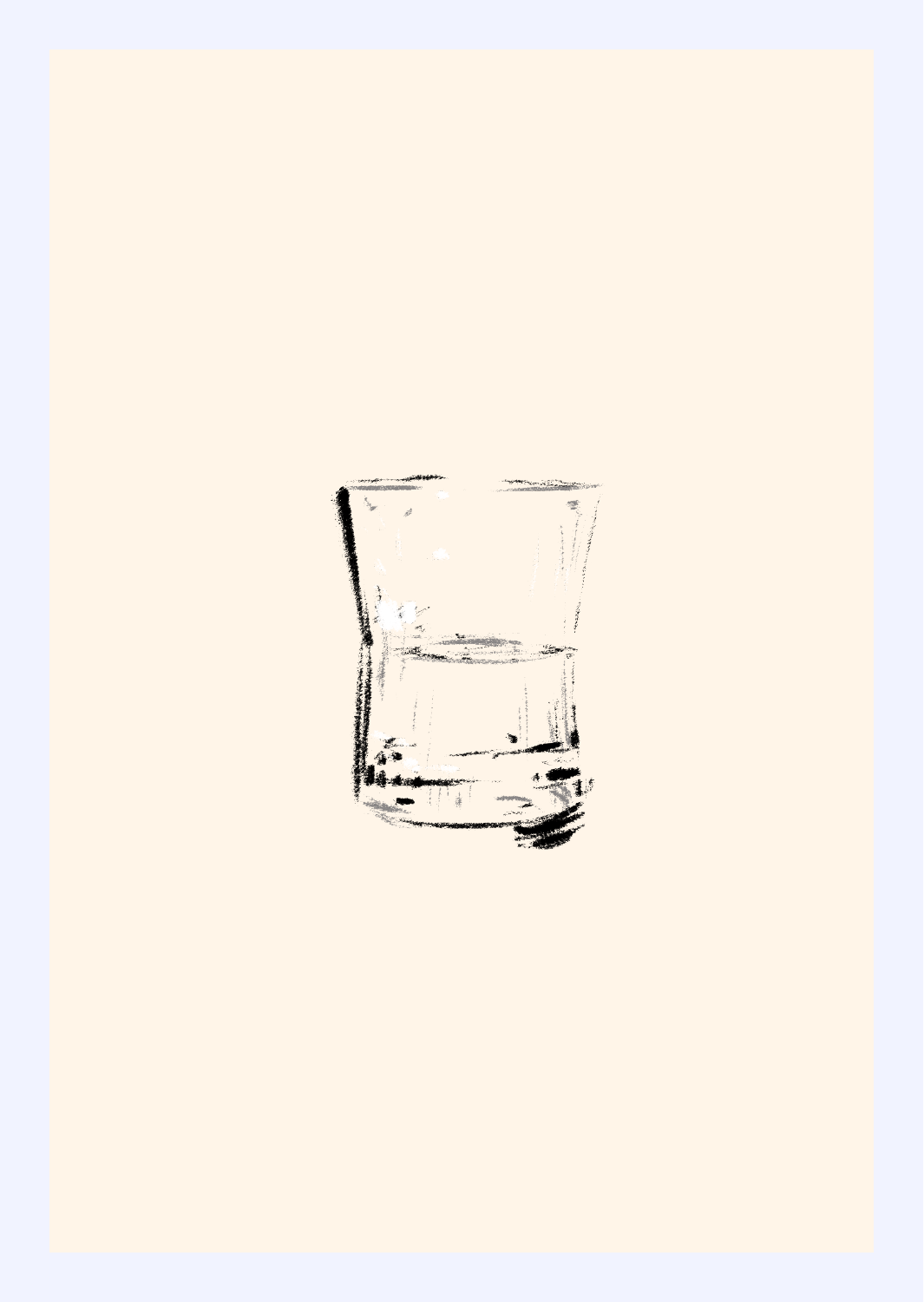